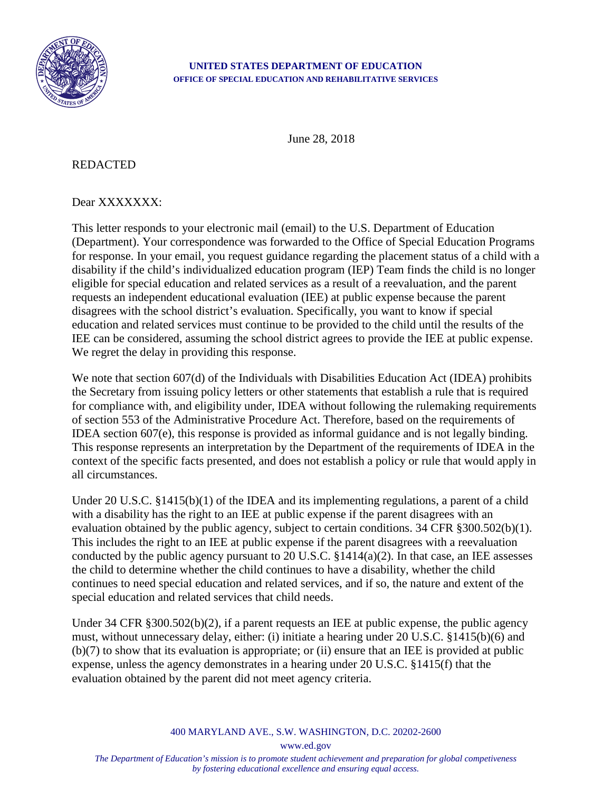

## **UNITED STATES DEPARTMENT OF EDUCATION OFFICE OF SPECIAL EDUCATION AND REHABILITATIVE SERVICES**

June 28, 2018

## REDACTED

## Dear XXXXXXX:

This letter responds to your electronic mail (email) to the U.S. Department of Education (Department). Your correspondence was forwarded to the Office of Special Education Programs for response. In your email, you request guidance regarding the placement status of a child with a disability if the child's individualized education program (IEP) Team finds the child is no longer eligible for special education and related services as a result of a reevaluation, and the parent requests an independent educational evaluation (IEE) at public expense because the parent disagrees with the school district's evaluation. Specifically, you want to know if special education and related services must continue to be provided to the child until the results of the IEE can be considered, assuming the school district agrees to provide the IEE at public expense. We regret the delay in providing this response.

We note that section 607(d) of the Individuals with Disabilities Education Act (IDEA) prohibits the Secretary from issuing policy letters or other statements that establish a rule that is required for compliance with, and eligibility under, IDEA without following the rulemaking requirements of section 553 of the Administrative Procedure Act. Therefore, based on the requirements of IDEA section 607(e), this response is provided as informal guidance and is not legally binding. This response represents an interpretation by the Department of the requirements of IDEA in the context of the specific facts presented, and does not establish a policy or rule that would apply in all circumstances.

Under 20 U.S.C. §1415(b)(1) of the IDEA and its implementing regulations, a parent of a child with a disability has the right to an IEE at public expense if the parent disagrees with an evaluation obtained by the public agency, subject to certain conditions. 34 CFR §300.502(b)(1). This includes the right to an IEE at public expense if the parent disagrees with a reevaluation conducted by the public agency pursuant to 20 U.S.C.  $\S 1414(a)(2)$ . In that case, an IEE assesses the child to determine whether the child continues to have a disability, whether the child continues to need special education and related services, and if so, the nature and extent of the special education and related services that child needs.

Under 34 CFR §300.502(b)(2), if a parent requests an IEE at public expense, the public agency must, without unnecessary delay, either: (i) initiate a hearing under 20 U.S.C. §1415(b)(6) and (b)(7) to show that its evaluation is appropriate; or (ii) ensure that an IEE is provided at public expense, unless the agency demonstrates in a hearing under 20 U.S.C. §1415(f) that the evaluation obtained by the parent did not meet agency criteria.

400 MARYLAND AVE., S.W. WASHINGTON, D.C. 20202-2600

www.ed.gov

*The Department of Education's mission is to promote student achievement and preparation for global competiveness by fostering educational excellence and ensuring equal access.*